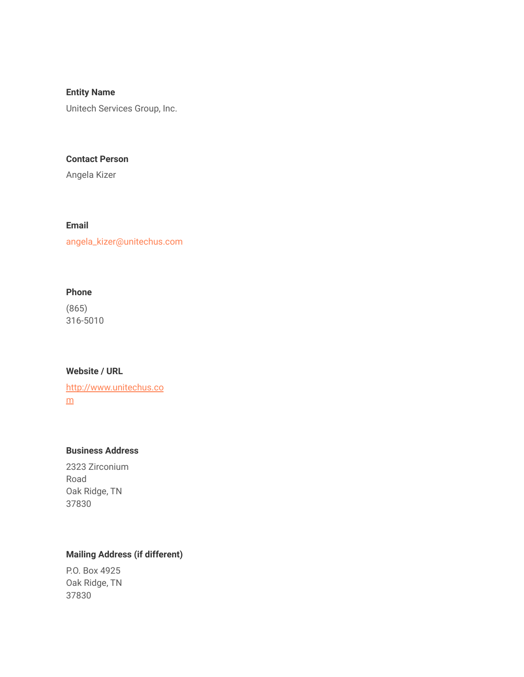**Entity Name**

Unitech Services Group, Inc.

#### **Contact Person**

Angela Kizer

### **Email**

angela\_kizer@unitechus.com

### **Phone**

(865) 316-5010

### **Website / URL**

[http://www.unitechus.co](http://www.unitechus.com/) [m](http://www.unitechus.com/)

### **Business Address**

2323 Zirconium Road Oak Ridge, TN 37830

# **Mailing Address (if different)**

P.O. Box 4925 Oak Ridge, TN 37830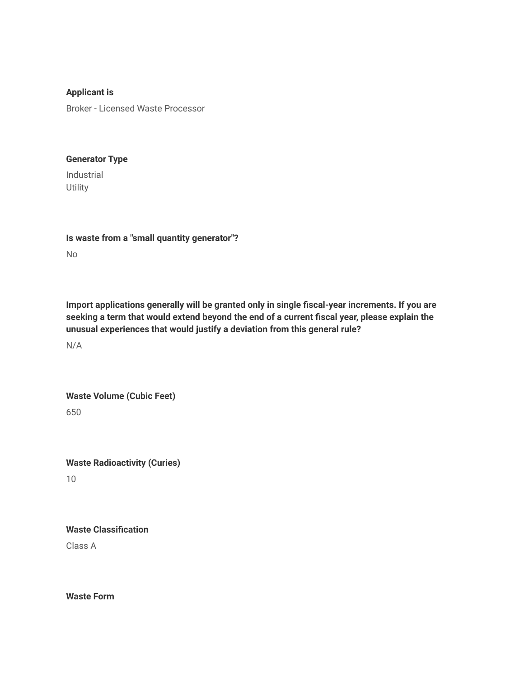**Applicant is** Broker - Licensed Waste Processor

#### **Generator Type**

Industrial **Utility** 

**Is waste from a "small quantity generator"?** No

**Import applications generally will be granted only in single fiscal-year increments. If you are seeking a term that would extend beyond the end of a current fiscal year, please explain the unusual experiences that would justify a deviation from this general rule?**

N/A

**Waste Volume (Cubic Feet)**

650

**Waste Radioactivity (Curies)** 10

**Waste Classification** Class A

**Waste Form**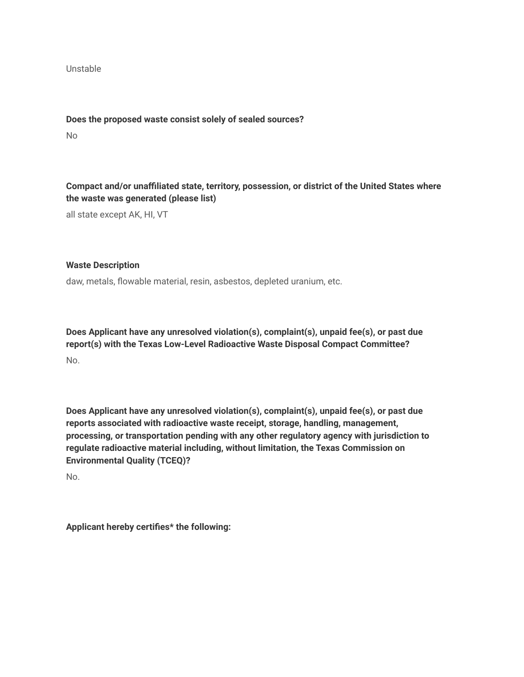Unstable

**Does the proposed waste consist solely of sealed sources?**

No

**Compact and/or unaffiliated state, territory, possession, or district of the United States where the waste was generated (please list)**

all state except AK, HI, VT

#### **Waste Description**

daw, metals, flowable material, resin, asbestos, depleted uranium, etc.

**Does Applicant have any unresolved violation(s), complaint(s), unpaid fee(s), or past due report(s) with the Texas Low-Level Radioactive Waste Disposal Compact Committee?** No.

**Does Applicant have any unresolved violation(s), complaint(s), unpaid fee(s), or past due reports associated with radioactive waste receipt, storage, handling, management, processing, or transportation pending with any other regulatory agency with jurisdiction to regulate radioactive material including, without limitation, the Texas Commission on Environmental Quality (TCEQ)?**

No.

**Applicant hereby certifies\* the following:**